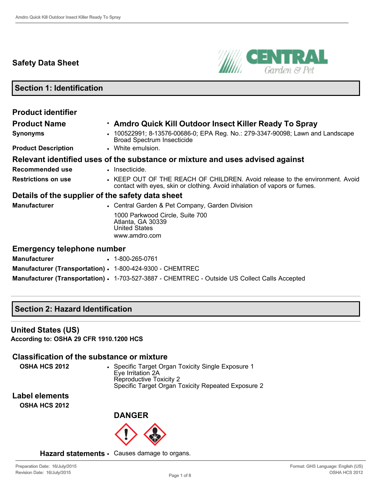# **Safety Data Sheet**



**Section 1: Identification**

| <b>Product identifier</b>                                 |                                                                                                                                                           |
|-----------------------------------------------------------|-----------------------------------------------------------------------------------------------------------------------------------------------------------|
| <b>Product Name</b>                                       | . Amdro Quick Kill Outdoor Insect Killer Ready To Spray                                                                                                   |
| <b>Synonyms</b>                                           | 100522991; 8-13576-00686-0; EPA Reg. No.: 279-3347-90098; Lawn and Landscape<br><b>Broad Spectrum Insecticide</b>                                         |
| <b>Product Description</b>                                | • White emulsion.                                                                                                                                         |
|                                                           | Relevant identified uses of the substance or mixture and uses advised against                                                                             |
| Recommended use                                           | • Insecticide.                                                                                                                                            |
| <b>Restrictions on use</b>                                | • KEEP OUT OF THE REACH OF CHILDREN. Avoid release to the environment. Avoid<br>contact with eyes, skin or clothing. Avoid inhalation of vapors or fumes. |
| Details of the supplier of the safety data sheet          |                                                                                                                                                           |
| <b>Manufacturer</b>                                       | • Central Garden & Pet Company, Garden Division                                                                                                           |
|                                                           | 1000 Parkwood Circle, Suite 700<br>Atlanta, GA 30339<br><b>United States</b><br>www.amdro.com                                                             |
| <b>Emergency telephone number</b>                         |                                                                                                                                                           |
| <b>Manufacturer</b>                                       | $\cdot$ 1-800-265-0761                                                                                                                                    |
| Manufacturer (Transportation) · 1-800-424-9300 - CHEMTREC |                                                                                                                                                           |

**Manufacturer (Transportation) · 1-703-527-3887 - CHEMTREC - Outside US Collect Calls Accepted** 

# **Section 2: Hazard Identification**

#### **United States (US)**

**According to: OSHA 29 CFR 1910.1200 HCS**

### **Classification of the substance or mixture**

**OSHA HCS 2012** • Specific Target Organ Toxicity Single Exposure 1 Eye Irritation 2A Reproductive Toxicity 2 Specific Target Organ Toxicity Repeated Exposure 2

**Label elements OSHA HCS 2012**

**DANGER**



**Hazard statements** • Causes damage to organs.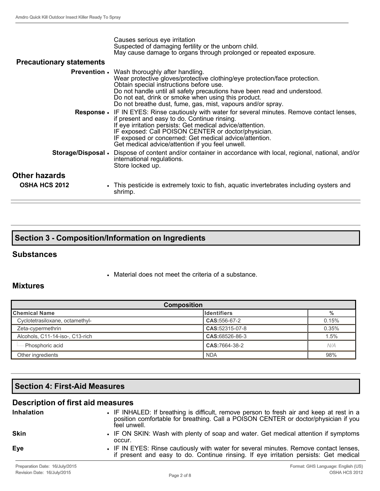| <b>Precautionary statements</b> | Causes serious eye irritation<br>Suspected of damaging fertility or the unborn child.<br>May cause damage to organs through prolonged or repeated exposure.                                                                                                                                                                                                                      |
|---------------------------------|----------------------------------------------------------------------------------------------------------------------------------------------------------------------------------------------------------------------------------------------------------------------------------------------------------------------------------------------------------------------------------|
|                                 |                                                                                                                                                                                                                                                                                                                                                                                  |
|                                 | <b>Prevention</b> • Wash thoroughly after handling.<br>Wear protective gloves/protective clothing/eye protection/face protection.<br>Obtain special instructions before use.<br>Do not handle until all safety precautions have been read and understood.<br>Do not eat, drink or smoke when using this product.<br>Do not breathe dust, fume, gas, mist, vapours and/or spray.  |
|                                 | Response • IF IN EYES: Rinse cautiously with water for several minutes. Remove contact lenses,<br>if present and easy to do. Continue rinsing.<br>If eye irritation persists: Get medical advice/attention.<br>IF exposed: Call POISON CENTER or doctor/physician.<br>IF exposed or concerned: Get medical advice/attention.<br>Get medical advice/attention if you feel unwell. |
| Storage/Disposal .              | Dispose of content and/or container in accordance with local, regional, national, and/or<br>international regulations.<br>Store locked up.                                                                                                                                                                                                                                       |
| Other hazards                   |                                                                                                                                                                                                                                                                                                                                                                                  |
| <b>OSHA HCS 2012</b>            | • This pesticide is extremely toxic to fish, aquatic invertebrates including oysters and<br>shrimp.                                                                                                                                                                                                                                                                              |

|  | <b>Section 3 - Composition/Information on Ingredients</b> |  |
|--|-----------------------------------------------------------|--|
|--|-----------------------------------------------------------|--|

#### **Substances**

• Material does not meet the criteria of a substance.

### **Mixtures**

| <b>Composition</b>              |                     |       |  |
|---------------------------------|---------------------|-------|--|
| <b>Chemical Name</b>            | <b>I</b> dentifiers | %     |  |
| Cyclotetrasiloxane, octamethyl- | CAS: 556-67-2       | 0.15% |  |
| Zeta-cypermethrin               | CAS:52315-07-8      | 0.35% |  |
| Alcohols, C11-14-iso-, C13-rich | CAS:68526-86-3      | 1.5%  |  |
| · Phosphoric acid               | CAS:7664-38-2       | N/A   |  |
| Other ingredients               | <b>NDA</b>          | 98%   |  |

# **Section 4: First-Aid Measures**

# **Description of first aid measures**

| <b>Inhalation</b>              | • IF INHALED: If breathing is difficult, remove person to fresh air and keep at rest in a<br>position comfortable for breathing. Call a POISON CENTER or doctor/physician if you<br>feel unwell. |
|--------------------------------|--------------------------------------------------------------------------------------------------------------------------------------------------------------------------------------------------|
| <b>Skin</b>                    | • IF ON SKIN: Wash with plenty of soap and water. Get medical attention if symptoms<br>occur.                                                                                                    |
| <b>Eye</b>                     | • IF IN EYES: Rinse cautiously with water for several minutes. Remove contact lenses,<br>if present and easy to do. Continue rinsing. If eye irritation persists: Get medical                    |
| Preparation Date: 16/July/2015 | Format: GHS Language: English (US)                                                                                                                                                               |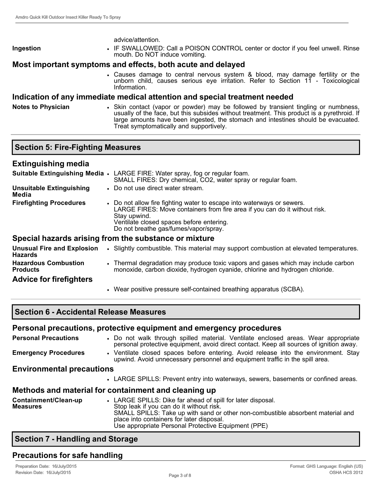advice/attention.

**Ingestion** • IF SWALLOWED: Call a POISON CONTROL center or doctor if you feel unwell. Rinse mouth. Do NOT induce vomiting.

# **Most important symptoms and effects, both acute and delayed**

• Causes damage to central nervous system & blood, may damage fertility or the unborn child, causes serious eye irritation. Refer to Section 11 Toxicological Information.

# **Indication of any immediate medical attention and special treatment needed**

Notes to Physician **•** Skin contact (vapor or powder) may be followed by transient tingling or numbness, usually of the face, but this subsides without treatment. This product is a pyrethroid. If large amounts have been ingested, the stomach and intestines should be evacuated. Treat symptomatically and supportively.

### **Section 5: Fire-Fighting Measures**

| <b>Extinguishing media</b>                          |                                                                                                                                                                                                                                                           |
|-----------------------------------------------------|-----------------------------------------------------------------------------------------------------------------------------------------------------------------------------------------------------------------------------------------------------------|
|                                                     | Suitable Extinguishing Media • LARGE FIRE: Water spray, fog or regular foam.<br>SMALL FIRES: Dry chemical, CO2, water spray or regular foam.                                                                                                              |
| <b>Unsuitable Extinguishing</b><br>Media            | • Do not use direct water stream.                                                                                                                                                                                                                         |
| <b>Firefighting Procedures</b>                      | • Do not allow fire fighting water to escape into waterways or sewers.<br>LARGE FIRES: Move containers from fire area if you can do it without risk.<br>Stay upwind.<br>Ventilate closed spaces before entering.<br>Do not breathe gas/fumes/vapor/spray. |
|                                                     | Special hazards arising from the substance or mixture                                                                                                                                                                                                     |
| <b>Unusual Fire and Explosion</b><br><b>Hazards</b> | • Slightly combustible. This material may support combustion at elevated temperatures.                                                                                                                                                                    |
| <b>Hazardous Combustion</b><br><b>Products</b>      | • Thermal degradation may produce toxic vapors and gases which may include carbon<br>monoxide, carbon dioxide, hydrogen cyanide, chlorine and hydrogen chloride.                                                                                          |
| <b>Advice for firefighters</b>                      |                                                                                                                                                                                                                                                           |
|                                                     | • Wear positive pressure self-contained breathing apparatus (SCBA).                                                                                                                                                                                       |

### **Section 6 Accidental Release Measures**

|                                         | Personal precautions, protective equipment and emergency procedures                                                                                                                                                                                                                            |  |  |
|-----------------------------------------|------------------------------------------------------------------------------------------------------------------------------------------------------------------------------------------------------------------------------------------------------------------------------------------------|--|--|
| <b>Personal Precautions</b>             | • Do not walk through spilled material. Ventilate enclosed areas. Wear appropriate<br>personal protective equipment, avoid direct contact. Keep all sources of ignition away.                                                                                                                  |  |  |
| <b>Emergency Procedures</b>             | • Ventilate closed spaces before entering. Avoid release into the environment. Stay<br>upwind. Avoid unnecessary personnel and equipment traffic in the spill area.                                                                                                                            |  |  |
| <b>Environmental precautions</b>        |                                                                                                                                                                                                                                                                                                |  |  |
|                                         | • LARGE SPILLS: Prevent entry into waterways, sewers, basements or confined areas.                                                                                                                                                                                                             |  |  |
|                                         | Methods and material for containment and cleaning up                                                                                                                                                                                                                                           |  |  |
| Containment/Clean-up<br><b>Measures</b> | • LARGE SPILLS: Dike far ahead of spill for later disposal.<br>Stop leak if you can do it without risk.<br>SMALL SPILLS: Take up with sand or other non-combustible absorbent material and<br>place into containers for later disposal.<br>Use appropriate Personal Protective Equipment (PPE) |  |  |

### **Section 7 Handling and Storage**

### **Precautions for safe handling**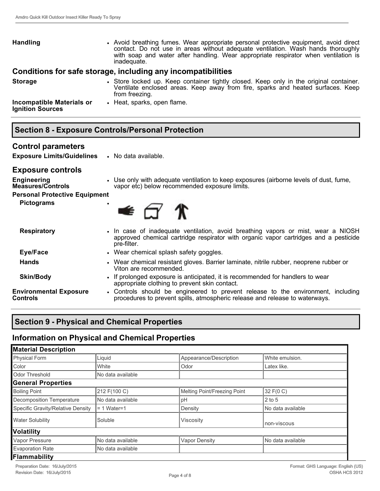| <b>Handling</b>                                             | • Avoid breathing fumes. Wear appropriate personal protective equipment, avoid direct<br>contact. Do not use in areas without adequate ventilation. Wash hands thoroughly<br>with soap and water after handling. Wear appropriate respirator when ventilation is<br>inadequate. |
|-------------------------------------------------------------|---------------------------------------------------------------------------------------------------------------------------------------------------------------------------------------------------------------------------------------------------------------------------------|
|                                                             | Conditions for safe storage, including any incompatibilities                                                                                                                                                                                                                    |
| <b>Storage</b>                                              | • Store locked up. Keep container tightly closed. Keep only in the original container.<br>Ventilate enclosed areas. Keep away from fire, sparks and heated surfaces. Keep<br>from freezing.                                                                                     |
| <b>Incompatible Materials or</b><br><b>Ignition Sources</b> | • Heat, sparks, open flame.                                                                                                                                                                                                                                                     |

| <b>Section 8 - Exposure Controls/Personal Protection</b> |
|----------------------------------------------------------|
|----------------------------------------------------------|

#### **Control parameters**

**Exposure Limits/Guidelines** • No data available.

#### **Exposure controls**

| <b>Engineering</b><br><b>Measures/Controls</b> | • Use only with adequate ventilation to keep exposures (airborne levels of dust, fume,<br>vapor etc) below recommended exposure limits.                                                  |  |  |
|------------------------------------------------|------------------------------------------------------------------------------------------------------------------------------------------------------------------------------------------|--|--|
| Personal Protective Equipment                  |                                                                                                                                                                                          |  |  |
| <b>Pictograms</b>                              | $\bullet$ $\sigma$ $\ast$                                                                                                                                                                |  |  |
| <b>Respiratory</b>                             | • In case of inadequate ventilation, avoid breathing vapors or mist, wear a NIOSH<br>approved chemical cartridge respirator with organic vapor cartridges and a pesticide<br>pre-filter. |  |  |
| Eye/Face                                       | • Wear chemical splash safety goggles.                                                                                                                                                   |  |  |
| <b>Hands</b>                                   | • Wear chemical resistant gloves. Barrier laminate, nitrile rubber, neoprene rubber or<br>Viton are recommended.                                                                         |  |  |
| <b>Skin/Body</b>                               | • If prolonged exposure is anticipated, it is recommended for handlers to wear<br>appropriate clothing to prevent skin contact.                                                          |  |  |
| <b>Environmental Exposure</b><br>Controls      | • Controls should be engineered to prevent release to the environment, including<br>procedures to prevent spills, atmospheric release and release to waterways.                          |  |  |

# **Section 9 Physical and Chemical Properties**

# **Information on Physical and Chemical Properties**

| <b>Material Description</b>       |                   |                              |                   |  |
|-----------------------------------|-------------------|------------------------------|-------------------|--|
| <b>Physical Form</b>              | Liquid            | Appearance/Description       | White emulsion.   |  |
| Color                             | White             | Odor                         | Latex like.       |  |
| Odor Threshold                    | No data available |                              |                   |  |
| <b>General Properties</b>         |                   |                              |                   |  |
| <b>Boiling Point</b>              | 212 F(100 C)      | Melting Point/Freezing Point | 32 F(0 C)         |  |
| Decomposition Temperature         | No data available | pH                           | $2$ to 5          |  |
| Specific Gravity/Relative Density | l= 1 Water=1      | Density                      | No data available |  |
| <b>Water Solubility</b>           | Soluble           | Viscosity                    | non-viscous       |  |
| Volatility                        |                   |                              |                   |  |
| Vapor Pressure                    | No data available | <b>Vapor Density</b>         | No data available |  |
| <b>Evaporation Rate</b>           | No data available |                              |                   |  |
| Flammability                      |                   |                              |                   |  |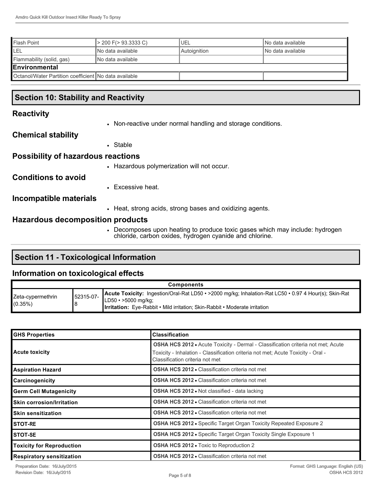| Flash Point                                           | > 200 F(> 93.3333 C) | 'UEL         | INo data available |
|-------------------------------------------------------|----------------------|--------------|--------------------|
| <b>ILEL</b>                                           | INo data available   | Autoignition | INo data available |
| Flammability (solid, gas)                             | INo data available   |              |                    |
| <b>IEnvironmental</b>                                 |                      |              |                    |
| Octanol/Water Partition coefficient No data available |                      |              |                    |

# **Section 10: Stability and Reactivity**

#### **Reactivity**

• Non-reactive under normal handling and storage conditions.

#### **Chemical stability**

• Stable

#### **Possibility of hazardous reactions**

• Hazardous polymerization will not occur.

**Conditions to avoid**

• Excessive heat.

**Incompatible materials**

• Heat, strong acids, strong bases and oxidizing agents.

#### **Hazardous decomposition products**

• Decomposes upon heating to produce toxic gases which may include: hydrogen chloride, carbon oxides, hydrogen cyanide and chlorine.

### **Section 11 - Toxicological Information**

#### **Information on toxicological effects**

| <b>Components</b>               |           |                                                                                                                                                                                                                          |
|---------------------------------|-----------|--------------------------------------------------------------------------------------------------------------------------------------------------------------------------------------------------------------------------|
| Zeta-cypermethrin<br>$(0.35\%)$ | 52315-07- | Acute Toxicity: Ingestion/Oral-Rat LD50 • >2000 mg/kg; Inhalation-Rat LC50 • 0.97 4 Hour(s); Skin-Rat<br>$LD50 \cdot >5000$ mg/kg:<br><b>Irritation:</b> Eye-Rabbit • Mild irritation; Skin-Rabbit • Moderate irritation |

| <b>GHS Properties</b>              | <b>Classification</b>                                                                                                                                                                                          |
|------------------------------------|----------------------------------------------------------------------------------------------------------------------------------------------------------------------------------------------------------------|
| Acute toxicity                     | <b>OSHA HCS 2012 •</b> Acute Toxicity - Dermal - Classification criteria not met; Acute<br>Toxicity - Inhalation - Classification criteria not met; Acute Toxicity - Oral -<br>Classification criteria not met |
| Aspiration Hazard                  | <b>OSHA HCS 2012 • Classification criteria not met</b>                                                                                                                                                         |
| <b>Carcinogenicity</b>             | <b>OSHA HCS 2012 • Classification criteria not met</b>                                                                                                                                                         |
| <b>Germ Cell Mutagenicity</b>      | <b>OSHA HCS 2012 • Not classified - data lacking</b>                                                                                                                                                           |
| <b>I</b> Skin corrosion/Irritation | <b>OSHA HCS 2012 •</b> Classification criteria not met                                                                                                                                                         |
| <b>I</b> Skin sensitization        | <b>OSHA HCS 2012 • Classification criteria not met</b>                                                                                                                                                         |
| <b>I</b> STOT-RE                   | <b>OSHA HCS 2012 •</b> Specific Target Organ Toxicity Repeated Exposure 2                                                                                                                                      |
| ISTOT-SE                           | <b>OSHA HCS 2012 •</b> Specific Target Organ Toxicity Single Exposure 1                                                                                                                                        |
| Toxicity for Reproduction          | <b>OSHA HCS 2012 - Toxic to Reproduction 2</b>                                                                                                                                                                 |
| Respiratory sensitization          | <b>OSHA HCS 2012 • Classification criteria not met</b>                                                                                                                                                         |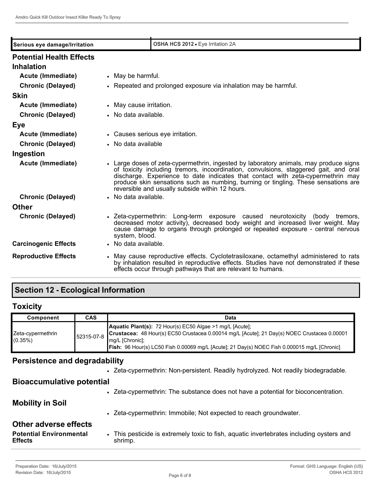| Serious eye damage/Irritation                        | OSHA HCS 2012 · Eye Irritation 2A                                                                                                                                                                                                                                                                                                                                                                         |  |
|------------------------------------------------------|-----------------------------------------------------------------------------------------------------------------------------------------------------------------------------------------------------------------------------------------------------------------------------------------------------------------------------------------------------------------------------------------------------------|--|
| <b>Potential Health Effects</b><br><b>Inhalation</b> |                                                                                                                                                                                                                                                                                                                                                                                                           |  |
| Acute (Immediate)                                    | • May be harmful.                                                                                                                                                                                                                                                                                                                                                                                         |  |
| <b>Chronic (Delayed)</b>                             | • Repeated and prolonged exposure via inhalation may be harmful.                                                                                                                                                                                                                                                                                                                                          |  |
| <b>Skin</b>                                          |                                                                                                                                                                                                                                                                                                                                                                                                           |  |
| Acute (Immediate)                                    | • May cause irritation.                                                                                                                                                                                                                                                                                                                                                                                   |  |
| <b>Chronic (Delayed)</b>                             | • No data available.                                                                                                                                                                                                                                                                                                                                                                                      |  |
| Eye                                                  |                                                                                                                                                                                                                                                                                                                                                                                                           |  |
| Acute (Immediate)                                    | • Causes serious eye irritation.                                                                                                                                                                                                                                                                                                                                                                          |  |
| <b>Chronic (Delayed)</b>                             | • No data available                                                                                                                                                                                                                                                                                                                                                                                       |  |
| Ingestion                                            |                                                                                                                                                                                                                                                                                                                                                                                                           |  |
| Acute (Immediate)                                    | • Large doses of zeta-cypermethrin, ingested by laboratory animals, may produce signs<br>of toxicity including tremors, incoordination, convulsions, staggered gait, and oral<br>discharge. Experience to date indicates that contact with zeta-cypermethrin may<br>produce skin sensations such as numbing, burning or tingling. These sensations are<br>reversible and usually subside within 12 hours. |  |
| <b>Chronic (Delayed)</b>                             | • No data available.                                                                                                                                                                                                                                                                                                                                                                                      |  |
| <b>Other</b>                                         |                                                                                                                                                                                                                                                                                                                                                                                                           |  |
| <b>Chronic (Delayed)</b>                             | • Zeta-cypermethrin: Long-term exposure caused neurotoxicity (body tremors,<br>decreased motor activity), decreased body weight and increased liver weight. May<br>cause damage to organs through prolonged or repeated exposure - central nervous<br>system, blood.                                                                                                                                      |  |
| <b>Carcinogenic Effects</b>                          | • No data available.                                                                                                                                                                                                                                                                                                                                                                                      |  |
| <b>Reproductive Effects</b>                          | • May cause reproductive effects. Cyclotetrasiloxane, octamethyl administered to rats<br>by inhalation resulted in reproductive effects. Studies have not demonstrated if these<br>effects occur through pathways that are relevant to humans.                                                                                                                                                            |  |

# **Section 12 Ecological Information**

# **Toxicity**

| Component                       | <b>CAS</b> | Data                                                                                                                                                                                                                                                                       |
|---------------------------------|------------|----------------------------------------------------------------------------------------------------------------------------------------------------------------------------------------------------------------------------------------------------------------------------|
| Zeta-cypermethrin<br>$(0.35\%)$ | 52315-07-8 | Aquatic Plant(s): 72 Hour(s) EC50 Algae >1 mg/L [Acute];<br>Crustacea: 48 Hour(s) EC50 Crustacea 0.00014 mg/L [Acute]; 21 Day(s) NOEC Crustacea 0.00001<br>mg/L [Chronic];<br>Fish: 96 Hour(s) LC50 Fish 0.00069 mg/L [Acute]; 21 Day(s) NOEC Fish 0.000015 mg/L [Chronic] |

# **Persistence and degradability**

| <b>Potential Environmental</b><br><b>Effects</b> | This pesticide is extremely toxic to fish, aquatic invertebrates including oysters and<br>shrimp. |
|--------------------------------------------------|---------------------------------------------------------------------------------------------------|
| <b>Other adverse effects</b>                     |                                                                                                   |
|                                                  | • Zeta-cypermethrin: Immobile; Not expected to reach groundwater.                                 |
| <b>Mobility in Soil</b>                          |                                                                                                   |
|                                                  | • Zeta-cypermethrin: The substance does not have a potential for bioconcentration.                |
| <b>Bioaccumulative potential</b>                 |                                                                                                   |
|                                                  | • Zeta-cypermethrin: Non-persistent. Readily hydrolyzed. Not readily biodegradable.               |
|                                                  |                                                                                                   |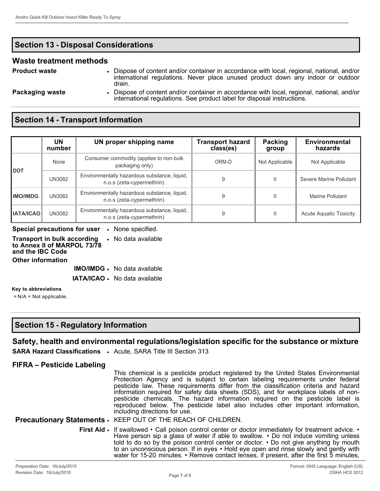# **Section 13 Disposal Considerations**

#### **Waste treatment methods**

**Product waste** • Dispose of content and/or container in accordance with local, regional, national, and/or international regulations. Never place unused product down any indoor or outdoor drain.

**Packaging waste** • Dispose of content and/or container in accordance with local, regional, national, and/or international regulations. See product label for disposal instructions.

# **Section 14 - Transport Information**

|                  | UN<br>number  | UN proper shipping name                                                   | <b>Transport hazard</b><br>class(es) | Packing<br>group | <b>Environmental</b><br>hazards |
|------------------|---------------|---------------------------------------------------------------------------|--------------------------------------|------------------|---------------------------------|
|                  | None          | Consumer commodity (applies to non-bulk<br>packaging only)                | ORM-D                                | Not Applicable   | Not Applicable                  |
| <b>I</b> DOT     | <b>UN3082</b> | Environmentally hazardous substance, liquid,<br>n.o.s (zeta-cypermethrin) |                                      | Ш                | Severe Marine Pollutant         |
| <b>IMO/IMDG</b>  | <b>UN3082</b> | Environmentally hazardous substance, liquid,<br>n.o.s (zeta-cypermethrin) | 9                                    | Ш                | Marine Pollutant                |
| <b>IATA/ICAO</b> | <b>UN3082</b> | Environmentally hazardous substance, liquid,<br>n.o.s (zeta-cypermethrin) | 9                                    | Ш                | <b>Acute Aquatic Toxicity</b>   |

#### **Special precautions for user** • None specified.

**Transport in bulk according to Annex II of MARPOL 73/78 and the IBC Code** • No data available

**Other information**

**IMO/IMDG** • No data available

**IATA/ICAO** • No data available

#### **Key to abbreviations**

= N/A = Not applicable.

# **Section 15 Regulatory Information**

# **Safety, health and environmental regulations/legislation specific for the substance or mixture**

**SARA Hazard Classifications** • Acute, SARA Title III Section 313

### **FIFRA – Pesticide Labeling**

This chemical is a pesticide product registered by the United States Environmental Protection Agency and is subject to certain labeling requirements under federal pesticide law. These requirements differ from the classification criteria and hazard information required for safety data sheets (SDS), and for workplace labels of nonpesticide chemicals. The hazard information required on the pesticide label is reproduced below. The pesticide label also includes other important information, including directions for use.

#### **Precautionary Statements** • KEEP OUT OF THE REACH OF CHILDREN.

**First Aid •** If swallowed • Call poison control center or doctor immediately for treatment advice. • Have person  $\sin a$  glass of water if able to swallow.  $\cdot$  Do not induce vomiting unless told to do so by the poison control center or doctor. • Do not give anything by mouth to an unconscious person. If in eyes • Hold eye open and rinse slowly and gently with water for 15-20 minutes. • Remove contact lenses, if present, after the first 5 minutes,